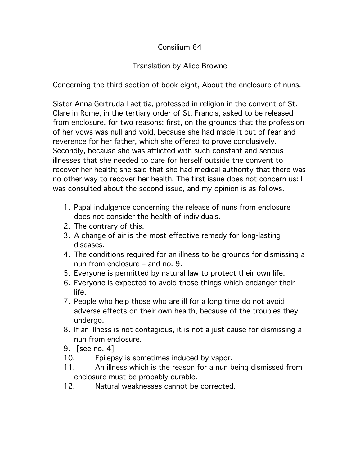## Consilium 64

## Translation by Alice Browne

Concerning the third section of book eight, About the enclosure of nuns.

Sister Anna Gertruda Laetitia, professed in religion in the convent of St. Clare in Rome, in the tertiary order of St. Francis, asked to be released from enclosure, for two reasons: first, on the grounds that the profession of her vows was null and void, because she had made it out of fear and reverence for her father, which she offered to prove conclusively. Secondly, because she was afflicted with such constant and serious illnesses that she needed to care for herself outside the convent to recover her health; she said that she had medical authority that there was no other way to recover her health. The first issue does not concern us: I was consulted about the second issue, and my opinion is as follows.

- 1. Papal indulgence concerning the release of nuns from enclosure does not consider the health of individuals.
- 2. The contrary of this.
- 3. A change of air is the most effective remedy for long-lasting diseases.
- 4. The conditions required for an illness to be grounds for dismissing a nun from enclosure – and no. 9.
- 5. Everyone is permitted by natural law to protect their own life.
- 6. Everyone is expected to avoid those things which endanger their life.
- 7. People who help those who are ill for a long time do not avoid adverse effects on their own health, because of the troubles they undergo.
- 8. If an illness is not contagious, it is not a just cause for dismissing a nun from enclosure.
- 9. [see no. 4]
- 10. Epilepsy is sometimes induced by vapor.
- 11. An illness which is the reason for a nun being dismissed from enclosure must be probably curable.
- 12. Natural weaknesses cannot be corrected.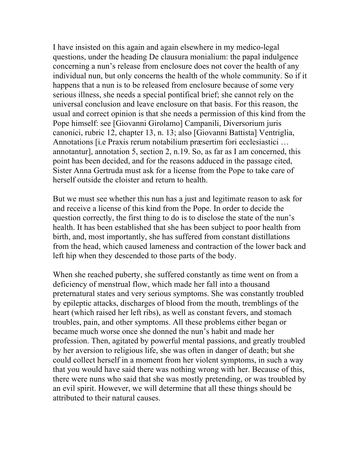I have insisted on this again and again elsewhere in my medico-legal questions, under the heading De clausura monialium: the papal indulgence concerning a nun's release from enclosure does not cover the health of any individual nun, but only concerns the health of the whole community. So if it happens that a nun is to be released from enclosure because of some very serious illness, she needs a special pontifical brief; she cannot rely on the universal conclusion and leave enclosure on that basis. For this reason, the usual and correct opinion is that she needs a permission of this kind from the Pope himself: see [Giovanni Girolamo] Campanili, Diversorium juris canonici, rubric 12, chapter 13, n. 13; also [Giovanni Battista] Ventriglia, Annotations [i.e Praxis rerum notabilium præsertim fori ecclesiastici … annotantur], annotation 5, section 2, n.19. So, as far as I am concerned, this point has been decided, and for the reasons adduced in the passage cited, Sister Anna Gertruda must ask for a license from the Pope to take care of herself outside the cloister and return to health.

But we must see whether this nun has a just and legitimate reason to ask for and receive a license of this kind from the Pope. In order to decide the question correctly, the first thing to do is to disclose the state of the nun's health. It has been established that she has been subject to poor health from birth, and, most importantly, she has suffered from constant distillations from the head, which caused lameness and contraction of the lower back and left hip when they descended to those parts of the body.

When she reached puberty, she suffered constantly as time went on from a deficiency of menstrual flow, which made her fall into a thousand preternatural states and very serious symptoms. She was constantly troubled by epileptic attacks, discharges of blood from the mouth, tremblings of the heart (which raised her left ribs), as well as constant fevers, and stomach troubles, pain, and other symptoms. All these problems either began or became much worse once she donned the nun's habit and made her profession. Then, agitated by powerful mental passions, and greatly troubled by her aversion to religious life, she was often in danger of death; but she could collect herself in a moment from her violent symptoms, in such a way that you would have said there was nothing wrong with her. Because of this, there were nuns who said that she was mostly pretending, or was troubled by an evil spirit. However, we will determine that all these things should be attributed to their natural causes.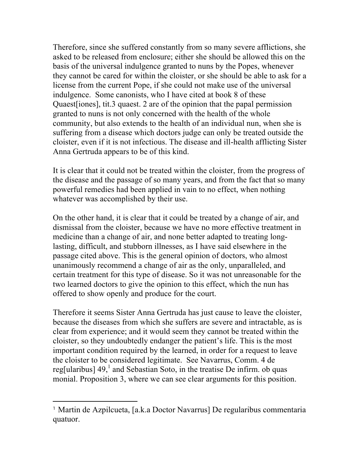Therefore, since she suffered constantly from so many severe afflictions, she asked to be released from enclosure; either she should be allowed this on the basis of the universal indulgence granted to nuns by the Popes, whenever they cannot be cared for within the cloister, or she should be able to ask for a license from the current Pope, if she could not make use of the universal indulgence. Some canonists, who I have cited at book 8 of these Quaest[iones], tit.3 quaest. 2 are of the opinion that the papal permission granted to nuns is not only concerned with the health of the whole community, but also extends to the health of an individual nun, when she is suffering from a disease which doctors judge can only be treated outside the cloister, even if it is not infectious. The disease and ill-health afflicting Sister Anna Gertruda appears to be of this kind.

It is clear that it could not be treated within the cloister, from the progress of the disease and the passage of so many years, and from the fact that so many powerful remedies had been applied in vain to no effect, when nothing whatever was accomplished by their use.

On the other hand, it is clear that it could be treated by a change of air, and dismissal from the cloister, because we have no more effective treatment in medicine than a change of air, and none better adapted to treating longlasting, difficult, and stubborn illnesses, as I have said elsewhere in the passage cited above. This is the general opinion of doctors, who almost unanimously recommend a change of air as the only, unparalleled, and certain treatment for this type of disease. So it was not unreasonable for the two learned doctors to give the opinion to this effect, which the nun has offered to show openly and produce for the court.

Therefore it seems Sister Anna Gertruda has just cause to leave the cloister, because the diseases from which she suffers are severe and intractable, as is clear from experience; and it would seem they cannot be treated within the cloister, so they undoubtedly endanger the patient's life. This is the most important condition required by the learned, in order for a request to leave the cloister to be considered legitimate. See Navarrus, Comm. 4 de reg[ularibus]  $49<sup>1</sup>$  and Sebastian Soto, in the treatise De infirm. ob quas monial. Proposition 3, where we can see clear arguments for this position.

 $\overline{a}$ 

<sup>1</sup> Martin de Azpilcueta, [a.k.a Doctor Navarrus] De regularibus commentaria quatuor.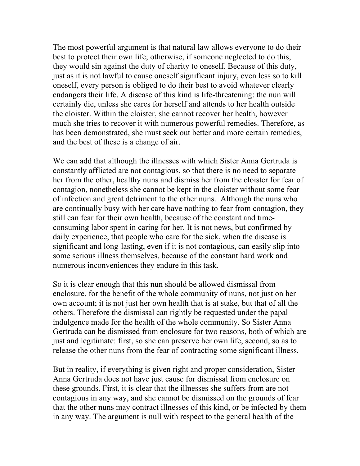The most powerful argument is that natural law allows everyone to do their best to protect their own life; otherwise, if someone neglected to do this, they would sin against the duty of charity to oneself. Because of this duty, just as it is not lawful to cause oneself significant injury, even less so to kill oneself, every person is obliged to do their best to avoid whatever clearly endangers their life. A disease of this kind is life-threatening: the nun will certainly die, unless she cares for herself and attends to her health outside the cloister. Within the cloister, she cannot recover her health, however much she tries to recover it with numerous powerful remedies. Therefore, as has been demonstrated, she must seek out better and more certain remedies, and the best of these is a change of air.

We can add that although the illnesses with which Sister Anna Gertruda is constantly afflicted are not contagious, so that there is no need to separate her from the other, healthy nuns and dismiss her from the cloister for fear of contagion, nonetheless she cannot be kept in the cloister without some fear of infection and great detriment to the other nuns. Although the nuns who are continually busy with her care have nothing to fear from contagion, they still can fear for their own health, because of the constant and timeconsuming labor spent in caring for her. It is not news, but confirmed by daily experience, that people who care for the sick, when the disease is significant and long-lasting, even if it is not contagious, can easily slip into some serious illness themselves, because of the constant hard work and numerous inconveniences they endure in this task.

So it is clear enough that this nun should be allowed dismissal from enclosure, for the benefit of the whole community of nuns, not just on her own account; it is not just her own health that is at stake, but that of all the others. Therefore the dismissal can rightly be requested under the papal indulgence made for the health of the whole community. So Sister Anna Gertruda can be dismissed from enclosure for two reasons, both of which are just and legitimate: first, so she can preserve her own life, second, so as to release the other nuns from the fear of contracting some significant illness.

But in reality, if everything is given right and proper consideration, Sister Anna Gertruda does not have just cause for dismissal from enclosure on these grounds. First, it is clear that the illnesses she suffers from are not contagious in any way, and she cannot be dismissed on the grounds of fear that the other nuns may contract illnesses of this kind, or be infected by them in any way. The argument is null with respect to the general health of the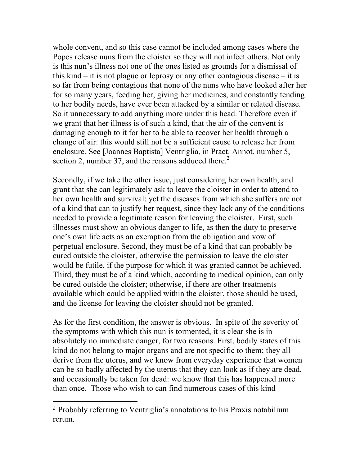whole convent, and so this case cannot be included among cases where the Popes release nuns from the cloister so they will not infect others. Not only is this nun's illness not one of the ones listed as grounds for a dismissal of this kind – it is not plague or leprosy or any other contagious disease – it is so far from being contagious that none of the nuns who have looked after her for so many years, feeding her, giving her medicines, and constantly tending to her bodily needs, have ever been attacked by a similar or related disease. So it unnecessary to add anything more under this head. Therefore even if we grant that her illness is of such a kind, that the air of the convent is damaging enough to it for her to be able to recover her health through a change of air: this would still not be a sufficient cause to release her from enclosure. See [Joannes Baptista] Ventriglia, in Pract. Annot. number 5, section 2, number 37, and the reasons adduced there.<sup>2</sup>

Secondly, if we take the other issue, just considering her own health, and grant that she can legitimately ask to leave the cloister in order to attend to her own health and survival: yet the diseases from which she suffers are not of a kind that can to justify her request, since they lack any of the conditions needed to provide a legitimate reason for leaving the cloister. First, such illnesses must show an obvious danger to life, as then the duty to preserve one's own life acts as an exemption from the obligation and vow of perpetual enclosure. Second, they must be of a kind that can probably be cured outside the cloister, otherwise the permission to leave the cloister would be futile, if the purpose for which it was granted cannot be achieved. Third, they must be of a kind which, according to medical opinion, can only be cured outside the cloister; otherwise, if there are other treatments available which could be applied within the cloister, those should be used, and the license for leaving the cloister should not be granted.

As for the first condition, the answer is obvious. In spite of the severity of the symptoms with which this nun is tormented, it is clear she is in absolutely no immediate danger, for two reasons. First, bodily states of this kind do not belong to major organs and are not specific to them; they all derive from the uterus, and we know from everyday experience that women can be so badly affected by the uterus that they can look as if they are dead, and occasionally be taken for dead: we know that this has happened more than once. Those who wish to can find numerous cases of this kind

 $\overline{a}$ 

<sup>2</sup> Probably referring to Ventriglia's annotations to his Praxis notabilium rerum.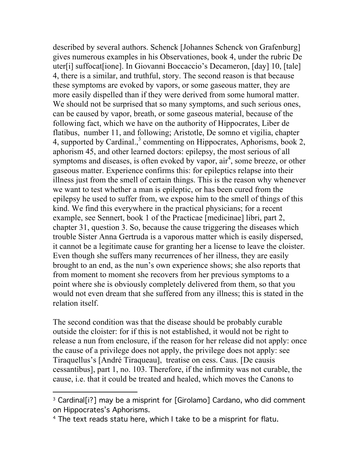described by several authors. Schenck [Johannes Schenck von Grafenburg] gives numerous examples in his Observationes, book 4, under the rubric De uter[i] suffocat[ione]. In Giovanni Boccaccio's Decameron, [day] 10, [tale] 4, there is a similar, and truthful, story. The second reason is that because these symptoms are evoked by vapors, or some gaseous matter, they are more easily dispelled than if they were derived from some humoral matter. We should not be surprised that so many symptoms, and such serious ones, can be caused by vapor, breath, or some gaseous material, because of the following fact, which we have on the authority of Hippocrates, Liber de flatibus, number 11, and following; Aristotle, De somno et vigilia, chapter 4, supported by Cardinal.,<sup>3</sup> commenting on Hippocrates, Aphorisms, book 2, aphorism 45, and other learned doctors: epilepsy, the most serious of all symptoms and diseases, is often evoked by vapor,  $air<sup>4</sup>$ , some breeze, or other gaseous matter. Experience confirms this: for epileptics relapse into their illness just from the smell of certain things. This is the reason why whenever we want to test whether a man is epileptic, or has been cured from the epilepsy he used to suffer from, we expose him to the smell of things of this kind. We find this everywhere in the practical physicians; for a recent example, see Sennert, book 1 of the Practicae [medicinae] libri, part 2, chapter 31, question 3. So, because the cause triggering the diseases which trouble Sister Anna Gertruda is a vaporous matter which is easily dispersed, it cannot be a legitimate cause for granting her a license to leave the cloister. Even though she suffers many recurrences of her illness, they are easily brought to an end, as the nun's own experience shows; she also reports that from moment to moment she recovers from her previous symptoms to a point where she is obviously completely delivered from them, so that you would not even dream that she suffered from any illness; this is stated in the relation itself.

The second condition was that the disease should be probably curable outside the cloister: for if this is not established, it would not be right to release a nun from enclosure, if the reason for her release did not apply: once the cause of a privilege does not apply, the privilege does not apply: see Tiraquellus's [André Tiraqueau], treatise on cess. Caus. [De causis cessantibus], part 1, no. 103. Therefore, if the infirmity was not curable, the cause, i.e. that it could be treated and healed, which moves the Canons to

 $\overline{a}$ 

<sup>&</sup>lt;sup>3</sup> Cardinal[i?] may be a misprint for [Girolamo] Cardano, who did comment on Hippocrates's Aphorisms.

<sup>4</sup> The text reads statu here, which I take to be a misprint for flatu.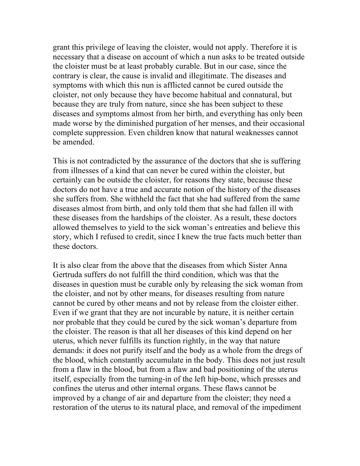grant this privilege of leaving the cloister, would not apply. Therefore it is necessary that a disease on account of which a nun asks to be treated outside the cloister must be at least probably curable. But in our case, since the contrary is clear, the cause is invalid and illegitimate. The diseases and symptoms with which this nun is afflicted cannot be cured outside the cloister, not only because they have become habitual and connatural, but because they are truly from nature, since she has been subject to these diseases and symptoms almost from her birth, and everything has only been made worse by the diminished purgation of her menses, and their occasional complete suppression. Even children know that natural weaknesses cannot be amended.

This is not contradicted by the assurance of the doctors that she is suffering from illnesses of a kind that can never be cured within the cloister, but certainly can be outside the cloister, for reasons they state, because these doctors do not have a true and accurate notion of the history of the diseases she suffers from. She withheld the fact that she had suffered from the same diseases almost from birth, and only told them that she had fallen ill with these diseases from the hardships of the cloister. As a result, these doctors allowed themselves to yield to the sick woman's entreaties and believe this story, which I refused to credit, since I knew the true facts much better than these doctors.

It is also clear from the above that the diseases from which Sister Anna Gertruda suffers do not fulfill the third condition, which was that the diseases in question must be curable only by releasing the sick woman from the cloister, and not by other means, for diseases resulting from nature cannot be cured by other means and not by release from the cloister either. Even if we grant that they are not incurable by nature, it is neither certain nor probable that they could be cured by the sick woman's departure from the cloister. The reason is that all her diseases of this kind depend on her uterus, which never fulfills its function rightly, in the way that nature demands: it does not purify itself and the body as a whole from the dregs of the blood, which constantly accumulate in the body. This does not just result from a flaw in the blood, but from a flaw and bad positioning of the uterus itself, especially from the turning-in of the left hip-bone, which presses and confines the uterus and other internal organs. These flaws cannot be improved by a change of air and departure from the cloister; they need a restoration of the uterus to its natural place, and removal of the impediment